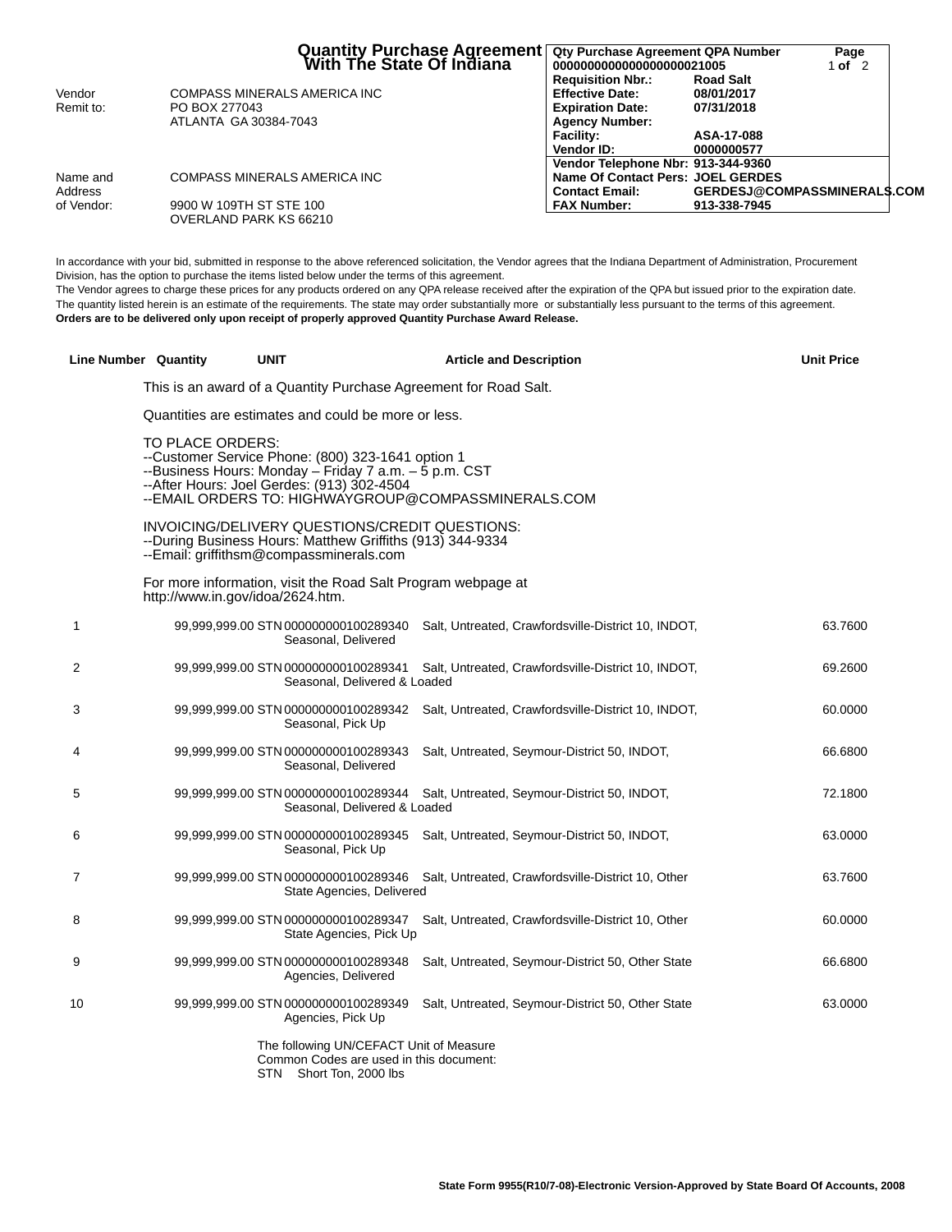|            | Quantity Purchase Agreement   Qty Purchase Agreement QPA Number<br>With The State Of Indiana   0000000000000000000021005 |                                                    |                                | Page<br>1 of $2$ |  |
|------------|--------------------------------------------------------------------------------------------------------------------------|----------------------------------------------------|--------------------------------|------------------|--|
| Vendor     | COMPASS MINERALS AMERICA INC                                                                                             | <b>Requisition Nbr.:</b><br><b>Effective Date:</b> | <b>Road Salt</b><br>08/01/2017 |                  |  |
| Remit to:  | PO BOX 277043                                                                                                            | <b>Expiration Date:</b>                            | 07/31/2018                     |                  |  |
|            | ATLANTA GA 30384-7043                                                                                                    | <b>Agency Number:</b>                              |                                |                  |  |
|            |                                                                                                                          | <b>Facility:</b>                                   | ASA-17-088                     |                  |  |
|            |                                                                                                                          | Vendor ID:                                         | 0000000577                     |                  |  |
|            |                                                                                                                          | Vendor Telephone Nbr: 913-344-9360                 |                                |                  |  |
| Name and   | COMPASS MINERALS AMERICA INC                                                                                             | Name Of Contact Pers: JOEL GERDES                  |                                |                  |  |
| Address    |                                                                                                                          | <b>Contact Email:</b>                              | GERDESJ@COMPASSMINERALS.COM    |                  |  |
| of Vendor: | 9900 W 109TH ST STE 100                                                                                                  | <b>FAX Number:</b>                                 | 913-338-7945                   |                  |  |
|            | OVERLAND PARK KS 66210                                                                                                   |                                                    |                                |                  |  |

In accordance with your bid, submitted in response to the above referenced solicitation, the Vendor agrees that the Indiana Department of Administration, Procurement Division, has the option to purchase the items listed below under the terms of this agreement.

The Vendor agrees to charge these prices for any products ordered on any QPA release received after the expiration of the QPA but issued prior to the expiration date. The quantity listed herein is an estimate of the requirements. The state may order substantially more or substantially less pursuant to the terms of this agreement. **Orders are to be delivered only upon receipt of properly approved Quantity Purchase Award Release.**

|    | Line Number Quantity                                | <b>UNIT</b>                                                                                                                                                                                                     | <b>Article and Description</b>                                                           | <b>Unit Price</b> |
|----|-----------------------------------------------------|-----------------------------------------------------------------------------------------------------------------------------------------------------------------------------------------------------------------|------------------------------------------------------------------------------------------|-------------------|
|    |                                                     | This is an award of a Quantity Purchase Agreement for Road Salt.                                                                                                                                                |                                                                                          |                   |
|    | Quantities are estimates and could be more or less. |                                                                                                                                                                                                                 |                                                                                          |                   |
|    | TO PLACE ORDERS:                                    | --Customer Service Phone: (800) 323-1641 option 1<br>--Business Hours: Monday - Friday 7 a.m. - 5 p.m. CST<br>--After Hours: Joel Gerdes: (913) 302-4504<br>--EMAIL ORDERS TO: HIGHWAYGROUP@COMPASSMINERALS.COM |                                                                                          |                   |
|    |                                                     | INVOICING/DELIVERY QUESTIONS/CREDIT QUESTIONS:<br>--During Business Hours: Matthew Griffiths (913) 344-9334<br>--Email: griffithsm@compassminerals.com                                                          |                                                                                          |                   |
|    |                                                     | For more information, visit the Road Salt Program webpage at<br>http://www.in.gov/idoa/2624.htm.                                                                                                                |                                                                                          |                   |
| 1  |                                                     | Seasonal, Delivered                                                                                                                                                                                             | 99,999,999.00 STN 000000000100289340 Salt, Untreated, Crawfordsville-District 10, INDOT, | 63.7600           |
| 2  |                                                     | Seasonal, Delivered & Loaded                                                                                                                                                                                    | 99,999,999.00 STN 000000000100289341 Salt, Untreated, Crawfordsville-District 10, INDOT, | 69.2600           |
| 3  |                                                     | Seasonal, Pick Up                                                                                                                                                                                               | 99,999,999.00 STN 000000000100289342 Salt, Untreated, Crawfordsville-District 10, INDOT, | 60.0000           |
| 4  |                                                     | 99,999,999.00 STN 000000000100289343<br>Seasonal, Delivered                                                                                                                                                     | Salt, Untreated, Seymour-District 50, INDOT,                                             | 66.6800           |
| 5  |                                                     | Seasonal, Delivered & Loaded                                                                                                                                                                                    | 99,999,999.00 STN 000000000100289344 Salt, Untreated, Seymour-District 50, INDOT,        | 72.1800           |
| 6  |                                                     | 99,999,999.00 STN 000000000100289345<br>Seasonal, Pick Up                                                                                                                                                       | Salt, Untreated, Seymour-District 50, INDOT,                                             | 63.0000           |
| 7  |                                                     | State Agencies, Delivered                                                                                                                                                                                       | 99,999,999.00 STN 000000000100289346 Salt, Untreated, Crawfordsville-District 10, Other  | 63.7600           |
| 8  |                                                     | State Agencies, Pick Up                                                                                                                                                                                         | 99,999,999.00 STN 000000000100289347 Salt, Untreated, Crawfordsville-District 10, Other  | 60.0000           |
| 9  |                                                     | Agencies, Delivered                                                                                                                                                                                             | 99,999,999.00 STN 000000000100289348 Salt, Untreated, Seymour-District 50, Other State   | 66.6800           |
| 10 |                                                     | 99,999,999.00 STN 000000000100289349<br>Agencies, Pick Up                                                                                                                                                       | Salt, Untreated, Seymour-District 50, Other State                                        | 63.0000           |
|    |                                                     | The following UN/CEFACT Unit of Measure<br>Common Codes are used in this document:<br>STN Short Ton, 2000 lbs                                                                                                   |                                                                                          |                   |